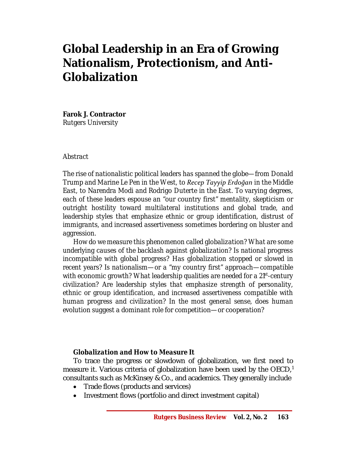# **Global Leadership in an Era of Growing Nationalism, Protectionism, and Anti-Globalization**

**Farok J. Contractor** *Rutgers University* 

## *Abstract*

*The rise of nationalistic political leaders has spanned the globe—from Donald Trump and Marine Le Pen in the West, to Recep Tayyip Erdoğan in the Middle East, to Narendra Modi and Rodrigo Duterte in the East. To varying degrees, each of these leaders espouse an "our country first" mentality, skepticism or outright hostility toward multilateral institutions and global trade, and leadership styles that emphasize ethnic or group identification, distrust of immigrants, and increased assertiveness sometimes bordering on bluster and aggression.* 

*How do we measure this phenomenon called globalization? What are some underlying causes of the backlash against globalization? Is national progress incompatible with global progress? Has globalization stopped or slowed in recent years? Is nationalism—or a "my country first" approach—compatible with economic growth? What leadership qualities are needed for a 21st -century civilization? Are leadership styles that emphasize strength of personality, ethnic or group identification, and increased assertiveness compatible with human progress and civilization? In the most general sense, does human evolution suggest a dominant role for competition—or cooperation?*

## *Globalization and How to Measure It*

To trace the progress or slowdown of globalization, we first need to measure it. Various criteria of globalization have been used by the  $OECD<sub>i</sub><sup>1</sup>$ consultants such as McKinsey & Co., and academics. They generally include

- Trade flows (products and services)
- Investment flows (portfolio and direct investment capital)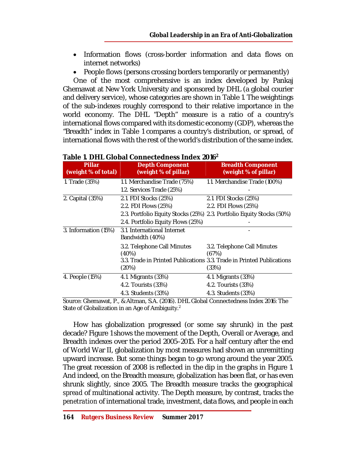- Information flows (cross-border information and data flows on internet networks)
- People flows (persons crossing borders temporarily or permanently)

One of the most comprehensive is an index developed by Pankaj Ghemawat at New York University and sponsored by DHL (a global courier and delivery service), whose categories are shown in Table 1. The weightings of the sub-indexes roughly correspond to their relative importance in the world economy. The DHL "Depth" measure is a ratio of a country's international flows compared with its domestic economy (GDP), whereas the "Breadth" index in Table 1 compares a country's distribution, or spread, of international flows with the rest of the world's distribution of the same index.

| <b>Pillar</b><br>(weight % of total) | <b>Depth Component</b><br>(weight % of pillar)                                     | <b>Breadth Component</b><br>(weight % of pillar)                                                                       |
|--------------------------------------|------------------------------------------------------------------------------------|------------------------------------------------------------------------------------------------------------------------|
| 1. Trade (35%)                       | 1.1. Merchandise Trade (75%)<br>1.2. Services Trade (25%)                          | 1.1. Merchandise Trade (100%)                                                                                          |
| 2. Capital (35%)                     | 2.1. FDI Stocks (25%)<br>2.2. FDI Flows (25%)<br>2.4. Portfolio Equity Flows (25%) | 2.1. FDI Stocks (25%)<br>2.2. FDI Flows (25%)<br>2.3. Portfolio Equity Stocks (25%) 2.3. Portfolio Equity Stocks (50%) |
| 3. Information (15%)                 | 3.1. International Internet<br>Bandwidth (40%)                                     |                                                                                                                        |
|                                      | 3.2. Telephone Call Minutes<br>(40%)<br>(20%)                                      | 3.2. Telephone Call Minutes<br>(67%)<br>3.3. Trade in Printed Publications 3.3. Trade in Printed Publications<br>(33%) |
| 4. People (15%)                      | 4.1. Migrants (33%)<br>4.2. Tourists (33%)<br>4.3. Students (33%)                  | 4.1. Migrants (33%)<br>4.2. Tourists (33%)<br>4.3. Students (33%)                                                      |

## **Table 1. DHL Global Connectedness Index 2016<sup>2</sup>**

Source: Ghemawat, P., & Altman, S.A. (2016). DHL Global Connectedness Index 2016: The State of Globalization in an Age of Ambiguity. $^{\rm 2}$ 

How has globalization progressed (or some say shrunk) in the past decade? Figure 1 shows the movement of the Depth, Overall or Average, and Breadth indexes over the period 2005–2015. For a half century after the end of World War II, globalization by most measures had shown an unremitting upward increase. But some things began to go wrong around the year 2005. The great recession of 2008 is reflected in the dip in the graphs in Figure 1. And indeed, on the Breadth measure, globalization has been flat, or has even shrunk slightly, since 2005. The Breadth measure tracks the geographical *spread* of multinational activity. The Depth measure, by contrast, tracks the *penetration* of international trade, investment, data flows, and people in each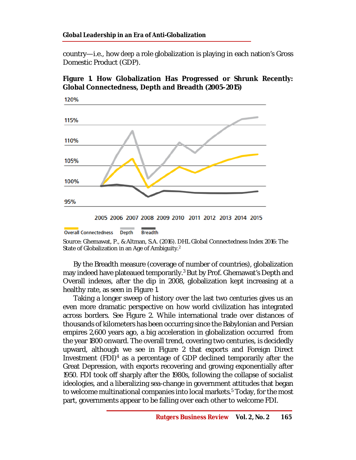#### **Global Leadership in an Era of Anti-Globalization**

country—i.e., how *deep* a role globalization is playing in each nation's Gross Domestic Product (GDP).

## **Figure 1. How Globalization Has Progressed or Shrunk Recently: Global Connectedness, Depth and Breadth (2005–2015)**



<sup>2005 2006 2007 2008 2009 2010 2011 2012 2013 2014 2015</sup> 

Source: Ghemawat, P., & Altman, S.A. (2016). DHL Global Connectedness Index 2016: The State of Globalization in an Age of Ambiguity.<sup>2</sup>

By the Breadth measure (coverage of number of countries), globalization may indeed have plateaued temporarily. <sup>3</sup> But by Prof. Ghemawat's Depth and Overall indexes, after the dip in 2008, globalization kept increasing at a healthy rate, as seen in Figure 1.

Taking a longer sweep of history over the last two centuries gives us an even more dramatic perspective on how world civilization has integrated across borders. See Figure 2. While international trade over distances of thousands of kilometers has been occurring since the Babylonian and Persian empires 2,600 years ago, a big acceleration in globalization occurred from the year 1800 onward. The overall trend, covering two centuries, is decidedly upward, although we see in Figure 2 that exports and Foreign Direct Investment (FDI)<sup>4</sup> as a percentage of GDP declined temporarily after the Great Depression, with exports recovering and growing exponentially after 1950. FDI took off sharply after the 1980s, following the collapse of socialist ideologies, and a liberalizing sea-change in government attitudes that began to welcome multinational companies into local markets. <sup>5</sup> Today, for the most part, governments appear to be falling over each other to welcome FDI.

**Overall Connectedness Breadth Depth**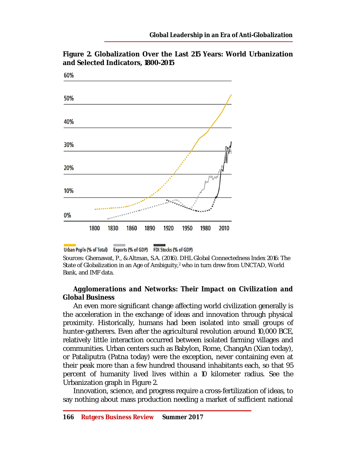**Figure 2. Globalization Over the Last 215 Years: World Urbanization and Selected Indicators, 1800-2015**



Urban Pop'n (% of Total) Exports (% of GDP) FDI Stocks (% of GDP)

Sources: Ghemawat, P., & Altman, S.A. (2016). DHL Global Connectedness Index 2016: The State of Globalization in an Age of Ambiguity, $2$  who in turn drew from UNCTAD, World Bank, and IMF data.

## *Agglomerations and Networks: Their Impact on Civilization and Global Business*

An even more significant change affecting world civilization generally is the acceleration in the exchange of ideas and innovation through physical proximity. Historically, humans had been isolated into small groups of hunter-gatherers. Even after the agricultural revolution around 10,000 BCE, relatively little interaction occurred between isolated farming villages and communities. Urban centers such as Babylon, Rome, ChangAn (Xian today), or Pataliputra (Patna today) were the exception, never containing even at their peak more than a few hundred thousand inhabitants each, so that 95 percent of humanity lived lives within a 10 kilometer radius. See the Urbanization graph in Figure 2.

Innovation, science, and progress require a cross-fertilization of ideas, to say nothing about mass production needing a market of sufficient national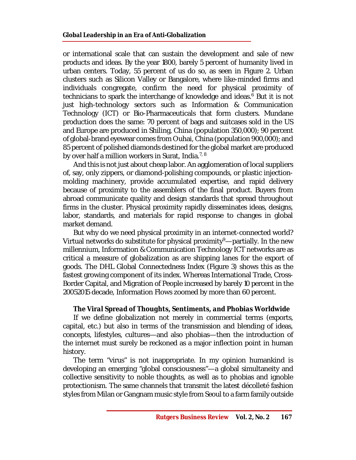or international scale that can sustain the development and sale of new products and ideas. By the year 1800, barely 5 percent of humanity lived in urban centers. Today, 55 percent of us do so, as seen in Figure 2. Urban clusters such as Silicon Valley or Bangalore, where like-minded firms and individuals congregate, confirm the need for physical proximity of technicians to spark the interchange of knowledge and ideas. <sup>6</sup> But it is not just high-technology sectors such as Information & Communication Technology (ICT) or Bio-Pharmaceuticals that form clusters. Mundane production does the same: 70 percent of bags and suitcases sold in the US and Europe are produced in Shiling, China (population 350,000); 90 percent of global-brand eyewear comes from Ouhai, China (population 900,000); and 85 percent of polished diamonds destined for the global market are produced by over half a million workers in Surat, India. $^{7,\,8}$ 

And this is not just about cheap labor. An agglomeration of local suppliers of, say, only zippers, or diamond-polishing compounds, or plastic injectionmolding machinery, provide accumulated expertise, and rapid delivery because of proximity to the assemblers of the final product. Buyers from abroad communicate quality and design standards that spread throughout firms in the cluster. Physical proximity rapidly disseminates ideas, designs, labor, standards, and materials for rapid response to changes in global market demand.

But why do we need physical proximity in an internet-connected world? Virtual networks do substitute for physical proximity $9$ —partially. In the new millennium, Information & Communication Technology ICT networks are as critical a measure of globalization as are shipping lanes for the export of goods. The DHL Global Connectedness Index (Figure 3) shows this as the fastest growing component of its index. Whereas International Trade, Cross-Border Capital, and Migration of People increased by barely 10 percent in the 20052015 decade, Information Flows zoomed by more than 60 percent.

## *The Viral Spread of Thoughts, Sentiments, and Phobias Worldwide*

If we define globalization not merely in commercial terms (exports, capital, etc.) but also in terms of the transmission and blending of ideas, concepts, lifestyles, cultures—and also phobias—then the introduction of the internet must surely be reckoned as a major inflection point in human history.

The term "virus" is not inappropriate. In my opinion humankind is developing an emerging "global consciousness"—a global simultaneity and collective sensitivity to noble thoughts, as well as to phobias and ignoble protectionism. The same channels that transmit the latest décolleté fashion styles from Milan or Gangnam music style from Seoul to a farm family outside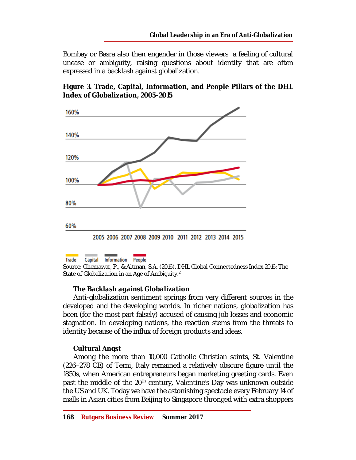Bombay or Basra also then engender in those viewers a feeling of cultural unease or ambiguity, raising questions about identity that are often expressed in a backlash against globalization.





**Trade** Capital Information People Source: Ghemawat, P., & Altman, S.A. (2016). DHL Global Connectedness Index 2016: The State of Globalization in an Age of Ambiguity.<sup>2</sup>

## *The Backlash against Globalization*

Anti-globalization sentiment springs from very different sources in the developed and the developing worlds. In richer nations, globalization has been (for the most part falsely) accused of causing job losses and economic stagnation. In developing nations, the reaction stems from the threats to identity because of the influx of foreign products and ideas.

## **Cultural Angst**

Among the more than 10,000 Catholic Christian saints, St. Valentine (226–278 CE) of Terni, Italy remained a relatively obscure figure until the 1850s, when American entrepreneurs began marketing greeting cards. Even past the middle of the 20<sup>th</sup> century, Valentine's Day was unknown outside the US and UK. Today we have the astonishing spectacle every February 14 of malls in Asian cities from Beijing to Singapore thronged with extra shoppers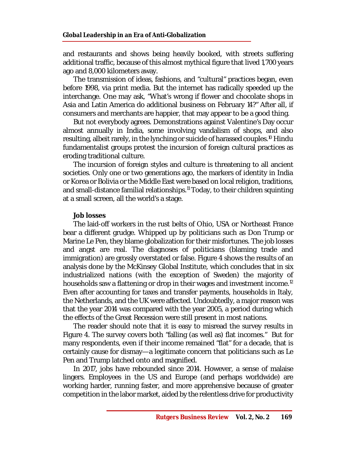and restaurants and shows being heavily booked, with streets suffering additional traffic, because of this almost mythical figure that lived 1,700 years ago and 8,000 kilometers away.

The transmission of ideas, fashions, and "cultural" practices began, even before 1998, via print media. But the internet has radically speeded up the interchange. One may ask, "What's wrong if flower and chocolate shops in Asia and Latin America do additional business on February 14?" After all, if consumers and merchants are happier, that may appear to be a good thing.

But not everybody agrees. Demonstrations against Valentine's Day occur almost annually in India, some involving vandalism of shops, and also resulting, albeit rarely, in the lynching or suicide of harassed couples.<sup>10</sup> Hindu fundamentalist groups protest the incursion of foreign cultural practices as eroding traditional culture.

The incursion of foreign styles and culture is threatening to all ancient societies. Only one or two generations ago, the markers of identity in India or Korea or Bolivia or the Middle East were based on local religion, traditions, and small-distance familial relationships.<sup>11</sup> Today, to their children squinting at a small screen, all the world's a stage.

## **Job losses**

The laid-off workers in the rust belts of Ohio, USA or Northeast France bear a different grudge. Whipped up by politicians such as Don Trump or Marine Le Pen, they blame globalization for their misfortunes. The job losses and angst are real. The diagnoses of politicians (blaming trade and immigration) are grossly overstated or false. Figure 4 shows the results of an analysis done by the McKinsey Global Institute, which concludes that in six industrialized nations (with the exception of Sweden) the majority of households saw a flattening or drop in their wages and investment income.<sup>12</sup> Even after accounting for taxes and transfer payments, households in Italy, the Netherlands, and the UK were affected. Undoubtedly, a major reason was that the year 2014 was compared with the year 2005, a period during which the effects of the Great Recession were still present in most nations.

The reader should note that it is easy to misread the survey results in Figure 4. The survey covers both "falling (as well as) flat incomes." But for many respondents, even if their income remained "flat" for a decade, that is certainly cause for dismay—a legitimate concern that politicians such as Le Pen and Trump latched onto and magnified.

In 2017, jobs have rebounded since 2014. However, a sense of malaise lingers. Employees in the US and Europe (and perhaps worldwide) are working harder, running faster, and more apprehensive because of greater competition in the labor market, aided by the relentless drive for productivity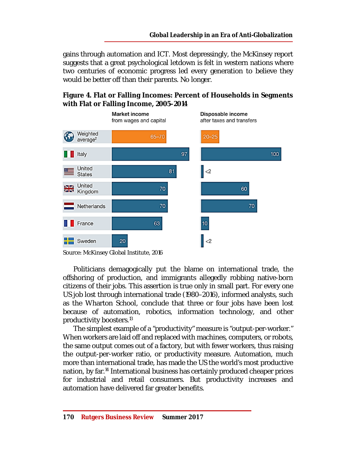gains through automation and ICT. Most depressingly, the McKinsey report suggests that a great psychological letdown is felt in western nations where two centuries of economic progress led every generation to believe they would be better off than their parents. No longer.





Source: McKinsey Global Institute, 2016

Politicians demagogically put the blame on international trade, the offshoring of production, and immigrants allegedly robbing native-born citizens of their jobs. This assertion is true only in small part. For every one US job lost through international trade (1980–2016), informed analysts, such as the Wharton School, conclude that three or four jobs have been lost because of automation, robotics, information technology, and other productivity boosters.<sup>13</sup>

The simplest example of a "productivity" measure is "output-per-worker." When workers are laid off and replaced with machines, computers, or robots, the same output comes out of a factory, but with fewer workers, thus raising the output-per-worker ratio, or productivity measure. Automation, much more than international trade, has made the US the world's most productive nation, by far. <sup>14</sup> International business has certainly produced cheaper prices for industrial and retail consumers. But productivity increases and automation have delivered far greater benefits.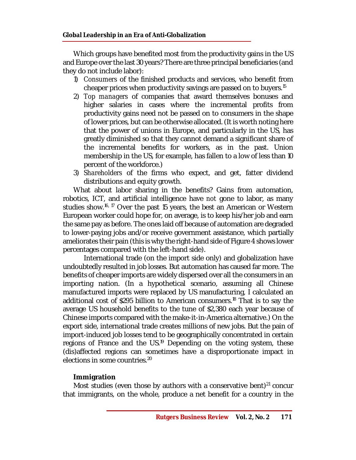Which groups have benefited most from the productivity gains in the US and Europe over the last 30 years? There are three principal beneficiaries (and they do not include labor):

- 1) *Consumers* of the finished products and services, who benefit from cheaper prices when productivity savings are passed on to buyers.<sup>15</sup>
- 2) *Top managers* of companies that award themselves bonuses and higher salaries in cases where the incremental profits from productivity gains need not be passed on to consumers in the shape of lower prices, but can be otherwise allocated. (It is worth noting here that the power of unions in Europe, and particularly in the US, has greatly diminished so that they cannot demand a significant share of the incremental benefits for workers, as in the past. Union membership in the US, for example, has fallen to a low of less than 10 percent of the workforce.)
- 3) *Shareholders* of the firms who expect, and get, fatter dividend distributions and equity growth.

What about labor sharing in the benefits? Gains from automation, robotics, ICT, and artificial intelligence have *not* gone to labor, as many studies show.<sup>16, 17</sup> Over the past 15 years, the best an American or Western European worker could hope for, on average, is to keep his/her job and earn the same pay as before. The ones laid off because of automation are degraded to lower-paying jobs and/or receive government assistance, which partially ameliorates their pain (this is why the right-hand side of Figure 4 shows lower percentages compared with the left-hand side).

International trade (on the import side only) and globalization have undoubtedly resulted in job losses. But automation has caused far more. The benefits of cheaper imports are widely dispersed over all the consumers in an importing nation. (In a hypothetical scenario, assuming all Chinese manufactured imports were replaced by US manufacturing, I calculated an additional cost of \$295 billion to American consumers. <sup>18</sup> That is to say the average US household benefits to the tune of \$2,380 each year because of Chinese imports compared with the make-it-in-America alternative.) On the export side, international trade creates millions of new jobs. But the pain of import-induced job losses tend to be geographically concentrated in certain regions of France and the US.<sup>19</sup> Depending on the voting system, these (dis)affected regions can sometimes have a disproportionate impact in elections in some countries. 20

# **Immigration**

Most studies (even those by authors with a conservative bent) $^{21}$  concur that immigrants, on the whole, produce a net benefit for a country in the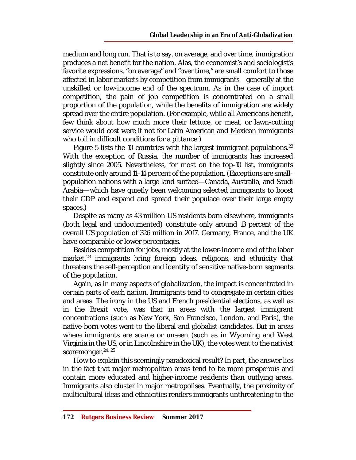medium and long run. That is to say, on average, and over time, immigration produces a net benefit for the nation. Alas, the economist's and sociologist's favorite expressions, "on average" and "over time," are small comfort to those affected in labor markets by competition from immigrants—generally at the unskilled or low-income end of the spectrum. As in the case of import competition, the pain of job competition is concentrated on a small proportion of the population, while the benefits of immigration are widely spread over the entire population. (For example, while all Americans benefit, few think about how much more their lettuce, or meat, or lawn-cutting service would cost were it not for Latin American and Mexican immigrants who toil in difficult conditions for a pittance.)

Figure 5 lists the 10 countries with the largest immigrant populations.<sup>22</sup> With the exception of Russia, the number of immigrants has increased slightly since 2005. Nevertheless, for most on the top-10 list, immigrants constitute only around 11–14 percent of the population. (Exceptions are smallpopulation nations with a large land surface—Canada, Australia, and Saudi Arabia—which have quietly been welcoming selected immigrants to boost their GDP and expand and spread their populace over their large empty spaces.)

Despite as many as 43 million US residents born elsewhere, immigrants (both legal and undocumented) constitute only around 13 percent of the overall US population of 326 million in 2017. Germany, France, and the UK have comparable or lower percentages.

Besides competition for jobs, mostly at the lower-income end of the labor market, 23 immigrants bring foreign ideas, religions, and ethnicity that threatens the self-perception and identity of sensitive native-born segments of the population.

Again, as in many aspects of globalization, the impact is concentrated in certain parts of each nation. Immigrants tend to congregate in certain cities and areas. The irony in the US and French presidential elections, as well as in the Brexit vote, was that in areas with the largest immigrant concentrations (such as New York, San Francisco, London, and Paris), the native-born votes went to the liberal and globalist candidates. But in areas where immigrants are scarce or unseen (such as in Wyoming and West Virginia in the US, or in Lincolnshire in the UK), the votes went to the nativist scaremonger.<sup>24, 25</sup>

How to explain this seemingly paradoxical result? In part, the answer lies in the fact that major metropolitan areas tend to be more prosperous and contain more educated and higher-income residents than outlying areas. Immigrants also cluster in major metropolises. Eventually, the proximity of multicultural ideas and ethnicities renders immigrants unthreatening to the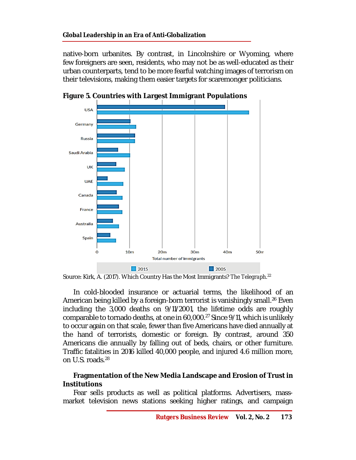#### **Global Leadership in an Era of Anti-Globalization**

native-born urbanites. By contrast, in Lincolnshire or Wyoming, where few foreigners are seen, residents, who may not be as well-educated as their urban counterparts, tend to be more fearful watching images of terrorism on their televisions, making them easier targets for scaremonger politicians.





In cold-blooded insurance or actuarial terms, the likelihood of an American being killed by a foreign-born terrorist is vanishingly small. <sup>26</sup> Even including the 3,000 deaths on 9/11/2001, the lifetime odds are roughly comparable to tornado deaths, at one in 60,000. <sup>27</sup> Since 9/11, which is unlikely to occur again on that scale, fewer than five Americans have died annually at the hand of terrorists, domestic or foreign. By contrast, around 350 Americans die annually by falling out of beds, chairs, or other furniture. Traffic fatalities in 2016 killed 40,000 people, and injured 4.6 million more, on U.S. roads. 28

#### **Fragmentation of the New Media Landscape and Erosion of Trust in Institutions**

Fear sells products as well as political platforms. Advertisers, massmarket television news stations seeking higher ratings, and campaign

Source: Kirk, A. (2017). Which Country Has the Most Immigrants? *The Telegraph*. 22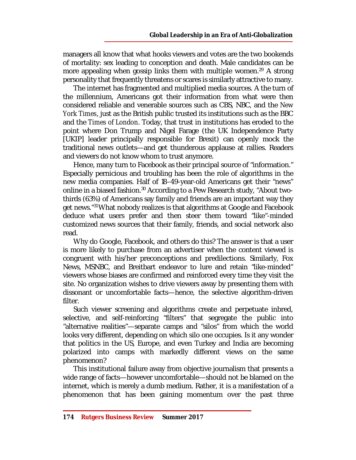managers all know that what hooks viewers and votes are the two bookends of mortality: sex leading to conception and death. Male candidates can be more appealing when gossip links them with multiple women.<sup>29</sup> A strong personality that frequently threatens or scares is similarly attractive to many.

The internet has fragmented and multiplied media sources. A the turn of the millennium, Americans got their information from what were then considered reliable and venerable sources such as CBS, NBC, and the *New York Times*, just as the British public trusted its institutions such as the BBC and the *Times of London*. Today, that trust in institutions has eroded to the point where Don Trump and Nigel Farage (the UK Independence Party [UKIP] leader principally responsible for Brexit) can openly mock the traditional news outlets—and get thunderous applause at rallies. Readers and viewers do not know whom to trust anymore.

Hence, many turn to Facebook as their principal source of "information." Especially pernicious and troubling has been the role of algorithms in the new media companies. Half of 18–49-year-old Americans get their "news" online in a biased fashion.<sup>30</sup> According to a Pew Research study, "About twothirds (63%) of Americans say family and friends are an important way they get news."<sup>31</sup> What nobody realizes is that algorithms at Google and Facebook deduce what users prefer and then steer them toward "like"-minded customized news sources that their family, friends, and social network also read.

Why do Google, Facebook, and others do this? The answer is that a user is more likely to purchase from an advertiser when the content viewed is congruent with his/her preconceptions and predilections. Similarly, Fox News, MSNBC, and Breitbart endeavor to lure and retain "like-minded" viewers whose biases are confirmed and reinforced every time they visit the site. No organization wishes to drive viewers away by presenting them with dissonant or uncomfortable facts—hence, the selective algorithm-driven filter.

Such viewer screening and algorithms create and perpetuate inbred, selective, and self-reinforcing "filters" that segregate the public into "alternative realities"—separate camps and "silos" from which the world looks very different, depending on which silo one occupies. Is it any wonder that politics in the US, Europe, and even Turkey and India are becoming polarized into camps with markedly different views on the same phenomenon?

This institutional failure away from objective journalism that presents a wide range of facts—however uncomfortable—should not be blamed on the internet, which is merely a dumb medium. Rather, it is a manifestation of a phenomenon that has been gaining momentum over the past three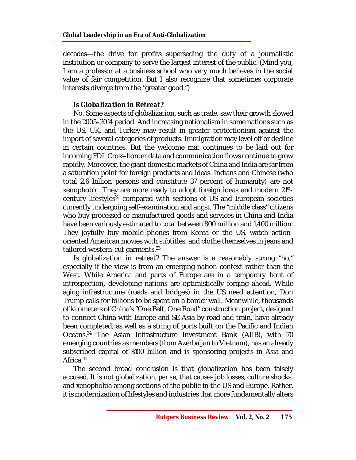decades—the drive for profits superseding the duty of a journalistic institution or company to serve the largest interest of the public. (Mind you, I am a professor at a business school who very much believes in the social value of fair competition. But I also recognize that sometimes corporate interests diverge from the "greater good.")

## *Is Globalization in Retreat?*

No. Some aspects of globalization, such as trade, saw their growth slowed in the 2005–2014 period. And increasing nationalism in some nations such as the US, UK, and Turkey may result in greater protectionism against the import of several categories of products. Immigration may level off or decline in certain countries. But the welcome mat continues to be laid out for incoming FDI. Cross-border data and communication flows continue to grow rapidly. Moreover, the giant domestic markets of China and India are far from a saturation point for foreign products and ideas. Indians and Chinese (who total 2.6 billion persons and constitute 37 percent of humanity) are not xenophobic. They are more ready to adopt foreign ideas and modern 21stcentury lifestyles<sup>32</sup> compared with sections of US and European societies currently undergoing self-examination and angst. The "middle class" citizens who buy processed or manufactured goods and services in China and India have been variously estimated to total between 800 million and 1,400 million. They joyfully buy mobile phones from Korea or the US, watch actionoriented American movies with subtitles, and clothe themselves in jeans and tailored western-cut garments.<sup>33</sup>

Is globalization in retreat? The answer is a reasonably strong "no," especially if the view is from an emerging-nation context rather than the West. While America and parts of Europe are in a temporary bout of introspection, developing nations are optimistically forging ahead. While aging infrastructure (roads and bridges) in the US need attention, Don Trump calls for billions to be spent on a border wall. Meanwhile, thousands of kilometers of China's "One Belt, One Road" construction project, designed to connect China with Europe and SE Asia by road and train, have already been completed, as well as a string of ports built on the Pacific and Indian Oceans. <sup>34</sup> The Asian Infrastructure Investment Bank (AIIB), with 70 emerging countries as members (from Azerbaijan to Vietnam), has an already subscribed capital of \$100 billion and is sponsoring projects in Asia and Africa. 35

The second broad conclusion is that globalization has been falsely accused. It is not globalization, *per se*, that causes job losses, culture shocks, and xenophobia among sections of the public in the US and Europe. Rather, it is modernization of lifestyles and industries that more fundamentally alters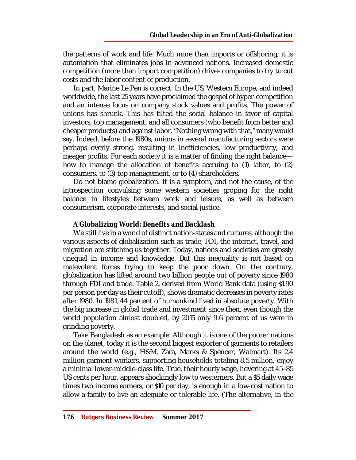the patterns of work and life. Much more than imports or offshoring, it is automation that eliminates jobs in advanced nations. Increased domestic competition (more than import competition) drives companies to try to cut costs and the labor content of production.

In part, Marine Le Pen is correct. In the US, Western Europe, and indeed worldwide, the last 25 years have proclaimed the gospel of hyper-competition and an intense focus on company stock values and profits. The power of unions has shrunk. This has tilted the social balance in favor of capital investors, top management, and all consumers (who benefit from better and cheaper products) and against labor. "Nothing wrong with that," many would say. Indeed, before the 1980s, unions in several manufacturing sectors were perhaps overly strong, resulting in inefficiencies, low productivity, and meager profits. For each society it is a matter of finding the right balance how to manage the allocation of benefits accruing to (1) labor, to (2) consumers, to (3) top management, or to (4) shareholders.

Do not blame globalization. It is a symptom, and not the cause, of the introspection convulsing some western societies groping for the right balance in lifestyles between work and leisure, as well as between consumerism, corporate interests, and social justice.

#### *A Globalizing World: Benefits and Backlash*

We still live in a world of distinct nation-states and cultures, although the various aspects of globalization such as trade, FDI, the internet, travel, and migration are stitching us together. Today, nations and societies are grossly unequal in income and knowledge. But this inequality is not based on malevolent forces trying to keep the poor down. On the contrary, globalization has lifted around two billion people out of poverty since 1980 through FDI and trade. Table 2, derived from World Bank data (using \$1.90 per person per day as their cutoff), shows dramatic decreases in poverty rates after 1980. In 1981, 44 percent of humankind lived in absolute poverty. With the big increase in global trade and investment since then, even though the world population almost doubled, by 2015 only 9.6 percent of us were in grinding poverty.

Take Bangladesh as an example. Although it is one of the poorer nations on the planet, today it is the second biggest exporter of garments to retailers around the world (e.g., H&M, Zara, Marks & Spencer, Walmart). Its 2.4 million garment workers, supporting households totaling 8.5 million, enjoy a minimal lower-middle-class life. True, their hourly wage, hovering at 45–85 US cents per hour, appears shockingly low to westerners. But a \$5 daily wage times two income earners, or \$10 per day, is enough in a low-cost nation to allow a family to live an adequate or tolerable life. (The alternative, in the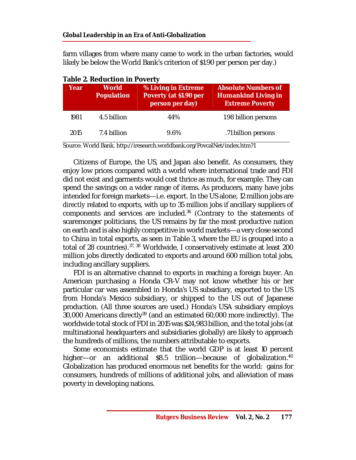farm villages from where many came to work in the urban factories, would likely be below the World Bank's criterion of \$1.90 per person per day.)

| Year | <b>World</b><br><b>Population</b> | % Living in Extreme<br>Poverty (at \$1.90 per<br>person per day) | <b>Absolute Numbers of</b><br><b>Humankind Living in</b><br><b>Extreme Poverty</b> |
|------|-----------------------------------|------------------------------------------------------------------|------------------------------------------------------------------------------------|
| 1981 | 4.5 billion                       | 44%                                                              | 1.98 billion persons                                                               |
| 2015 | 7.4 billion                       | 9.6%                                                             | .71 billion persons                                                                |

| <b>Table 2. Reduction in Poverty</b> |  |
|--------------------------------------|--|
|                                      |  |

Source: World Bank.<http://iresearch.worldbank.org/PovcalNet/index.htm?1>

Citizens of Europe, the US, and Japan also benefit. As consumers, they enjoy low prices compared with a world where international trade and FDI did not exist and garments would cost thrice as much, for example. They can spend the savings on a wider range of items. As producers, many have jobs intended for foreign markets—i.e. export. In the US alone, 12 million jobs are *directly* related to exports, with up to 35 million jobs if ancillary suppliers of components and services are included. 36 (Contrary to the statements of scaremonger politicians, the US remains by far the most productive nation on earth and is also highly competitive in world markets—a very close second to China in total exports, as seen in Table 3, where the EU is grouped into a total of 28 countries).<sup>37, 38</sup> Worldwide, I conservatively estimate at least 200 million jobs directly dedicated to exports and around 600 million total jobs, including ancillary suppliers.

FDI is an alternative channel to exports in reaching a foreign buyer. An American purchasing a Honda CR-V may not know whether his or her particular car was assembled in Honda's US subsidiary, exported to the US from Honda's Mexico subsidiary, or shipped to the US out of Japanese production. (All three sources are used.) Honda's USA subsidiary employs 30,000 Americans directly<sup>39</sup> (and an estimated 60,000 more indirectly). The worldwide total stock of FDI in 2015 was \$24,983 billion, and the total jobs (at multinational headquarters and subsidiaries globally) are likely to approach the hundreds of millions, the numbers attributable to exports.

Some economists estimate that the world GDP is at least 10 percent higher—or an additional \$8.5 trillion—because of globalization. 40 Globalization has produced enormous net benefits for the world: gains for consumers, hundreds of millions of additional jobs, and alleviation of mass poverty in developing nations.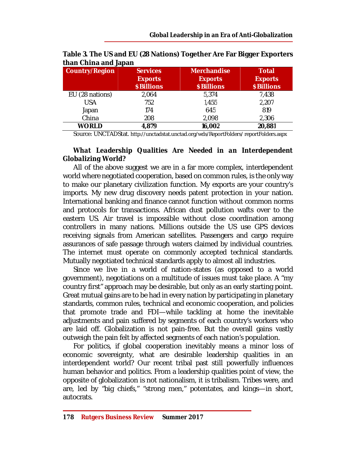| <b>Country/Region</b> | <b>Services</b><br><b>Exports</b><br>\$ Billions | <b>Merchandise</b><br><b>Exports</b><br>\$ Billions | <b>Total</b><br><b>Exports</b><br>\$ Billions |
|-----------------------|--------------------------------------------------|-----------------------------------------------------|-----------------------------------------------|
| EU (28 nations)       | 2,064                                            | 5,374                                               | 7,438                                         |
| <b>USA</b>            | 752                                              | 1,455                                               | 2,207                                         |
| Japan                 | 174                                              | 645                                                 | 819                                           |
| China                 | 208                                              | 2,098                                               | 2,306                                         |
| <b>WORLD</b>          | 4,879                                            | 16,002                                              | 20,881                                        |

**Table 3. The US and EU (28 Nations) Together Are Far Bigger Exporters than China and Japan**

Source: UNCTADStat. <http://unctadstat.unctad.org/wds/ReportFolders/> reportFolders.aspx

## *What Leadership Qualities Are Needed in an Interdependent Globalizing World?*

All of the above suggest we are in a far more complex, interdependent world where negotiated cooperation, based on common rules, is the only way to make our planetary civilization function. My exports are your country's imports. My new drug discovery needs patent protection in your nation. International banking and finance cannot function without common norms and protocols for transactions. African dust pollution wafts over to the eastern US. Air travel is impossible without close coordination among controllers in many nations. Millions outside the US use GPS devices receiving signals from American satellites. Passengers and cargo require assurances of safe passage through waters claimed by individual countries. The internet must operate on commonly accepted technical standards. Mutually negotiated technical standards apply to almost all industries.

Since we live in a world of nation-states (as opposed to a world government), negotiations on a multitude of issues must take place. A "my country first" approach may be desirable, but only as an early starting point. Great mutual gains are to be had in every nation by participating in planetary standards, common rules, technical and economic cooperation, and policies that promote trade and FDI—while tackling at home the inevitable adjustments and pain suffered by segments of each country's workers who are laid off. Globalization is not pain-free. But the overall gains vastly outweigh the pain felt by affected segments of each nation's population.

For politics, if global cooperation inevitably means a minor loss of economic sovereignty, what are desirable leadership qualities in an interdependent world? Our recent tribal past still powerfully influences human behavior and politics. From a leadership qualities point of view, the opposite of globalization is not nationalism, it is tribalism. Tribes were, and are, led by "big chiefs," "strong men," potentates, and kings—in short, autocrats.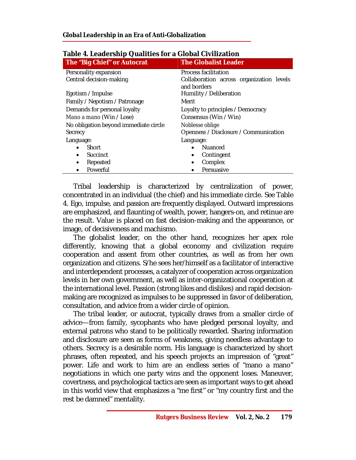| The "Big Chief" or Autocrat           | <b>The Globalist Leader</b>                             |  |
|---------------------------------------|---------------------------------------------------------|--|
| Personality expansion                 | Process facilitation                                    |  |
| Central decision-making               | Collaboration across organization levels<br>and borders |  |
| Egotism / Impulse                     | Humility / Deliberation                                 |  |
| Family / Nepotism / Patronage         | Merit                                                   |  |
| Demands for personal loyalty          | Loyalty to principles / Democracy                       |  |
| Mano a mano (Win / Lose)              | Consensus (Win / Win)                                   |  |
| No obligation beyond immediate circle | Noblesse oblige                                         |  |
| Secrecy                               | Openness / Disclosure / Communication                   |  |
| Language:                             | Language:                                               |  |
| Short                                 | Nuanced                                                 |  |
| Succinct<br>$\bullet$                 | Contingent<br>$\bullet$                                 |  |
| Repeated<br>٠                         | Complex                                                 |  |
| Powerful<br>$\bullet$                 | Persuasive                                              |  |

## **Table 4. Leadership Qualities for a Global Civilization**

Tribal leadership is characterized by centralization of power, concentrated in an individual (the chief) and his immediate circle. See Table 4. Ego, impulse, and passion are frequently displayed. Outward impressions are emphasized, and flaunting of wealth, power, hangers-on, and retinue are the result. Value is placed on fast decision-making and the appearance, or image, of decisiveness and machismo.

The globalist leader, on the other hand, recognizes her apex role differently, knowing that a global economy and civilization require cooperation and assent from other countries, as well as from her own organization and citizens. S/he sees her/himself as a facilitator of interactive and interdependent processes, a catalyzer of cooperation across organization levels in her own government, as well as inter-organizational cooperation at the international level. Passion (strong likes and dislikes) and rapid decisionmaking are recognized as impulses to be suppressed in favor of deliberation, consultation, and advice from a wider circle of opinion.

The tribal leader, or autocrat, typically draws from a smaller circle of advice—from family, sycophants who have pledged personal loyalty, and external patrons who stand to be politically rewarded. Sharing information and disclosure are seen as forms of weakness, giving needless advantage to others. Secrecy is a desirable norm. His language is characterized by short phrases, often repeated, and his speech projects an impression of "great" power. Life and work to him are an endless series of "mano a mano" negotiations in which one party wins and the opponent loses. Maneuver, covertness, and psychological tactics are seen as important ways to get ahead in this world view that emphasizes a "me first" or "my country first and the rest be damned" mentality.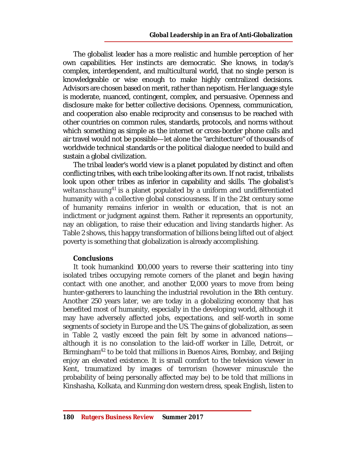The globalist leader has a more realistic and humble perception of her own capabilities. Her instincts are democratic. She knows, in today's complex, interdependent, and multicultural world, that no single person is knowledgeable or wise enough to make highly centralized decisions. Advisors are chosen based on merit, rather than nepotism. Her language style is moderate, nuanced, contingent, complex, and persuasive. Openness and disclosure make for better collective decisions. Openness, communication, and cooperation also enable reciprocity and consensus to be reached with other countries on common rules, standards, protocols, and norms without which something as simple as the internet or cross-border phone calls and air travel would not be possible—let alone the "architecture" of thousands of worldwide technical standards or the political dialogue needed to build and sustain a global civilization.

The tribal leader's world view is a planet populated by distinct and often conflicting tribes, with each tribe looking after its own. If not racist, tribalists look upon other tribes as inferior in capability and skills. The globalist's weltanschauung<sup>41</sup> is a planet populated by a uniform and undifferentiated humanity with a collective global consciousness. If in the 21st century some of humanity remains inferior in wealth or education, that is not an indictment or judgment against them. Rather it represents an opportunity, nay an obligation, to raise their education and living standards higher. As Table 2 shows, this happy transformation of billions being lifted out of abject poverty is something that globalization is already accomplishing.

#### *Conclusions*

It took humankind 100,000 years to reverse their scattering into tiny isolated tribes occupying remote corners of the planet and begin having contact with one another, and another 12,000 years to move from being hunter-gatherers to launching the industrial revolution in the 18th century. Another 250 years later, we are today in a globalizing economy that has benefited most of humanity, especially in the developing world, although it may have adversely affected jobs, expectations, and self-worth in some segments of society in Europe and the US. The gains of globalization, as seen in Table 2, vastly exceed the pain felt by some in advanced nations although it is no consolation to the laid-off worker in Lille, Detroit, or Birmingham<sup>42</sup> to be told that millions in Buenos Aires, Bombay, and Beijing enjoy an elevated existence. It is small comfort to the television viewer in Kent, traumatized by images of terrorism (however minuscule the probability of being personally affected may be) to be told that millions in Kinshasha, Kolkata, and Kunming don western dress, speak English, listen to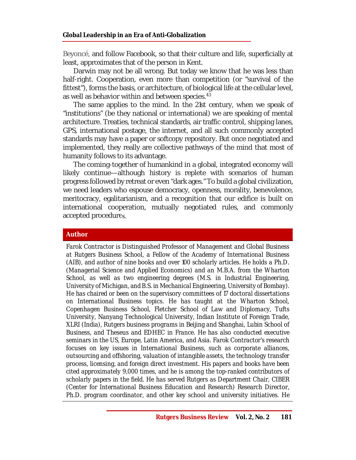Beyoncé, and follow Facebook, so that their culture and life, superficially at least, approximates that of the person in Kent.

Darwin may not be all wrong. But today we know that he was less than half-right. Cooperation, even more than competition (or "survival of the fittest"), forms the basis, or architecture, of biological life at the cellular level, as well as behavior within and between species.<sup>43</sup>

The same applies to the mind. In the 21st century, when we speak of "institutions" (be they national or international) we are speaking of mental architecture. Treaties, technical standards, air traffic control, shipping lanes, GPS, international postage, the internet, and all such commonly accepted standards may have a paper or softcopy repository. But once negotiated and implemented, they really are collective pathways of the mind that most of humanity follows to its advantage.

The coming-together of humankind in a global, integrated economy will likely continue—although history is replete with scenarios of human progress followed by retreat or even "dark ages." To build a global civilization, we need leaders who espouse democracy, openness, morality, benevolence, meritocracy, egalitarianism, and a recognition that our edifice is built on international cooperation, mutually negotiated rules, and commonly accepted procedures.

#### **Author**

*Farok Contractor is Distinguished Professor of Management and Global Business at Rutgers Business School, a Fellow of the Academy of International Business (AIB), and author of nine books and over 100 scholarly articles. He holds a Ph.D. (Managerial Science and Applied Economics) and an M.B.A. from the Wharton School, as well as two engineering degrees (M.S. in Industrial Engineering, University of Michigan, and B.S. in Mechanical Engineering, University of Bombay). He has chaired or been on the supervisory committees of 17 doctoral dissertations on International Business topics. He has taught at the Wharton School, Copenhagen Business School, Fletcher School of Law and Diplomacy, Tufts University, Nanyang Technological University, Indian Institute of Foreign Trade, XLRI (India), Rutgers business programs in Beijing and Shanghai, Lubin School of Business, and Theseus and EDHEC in France. He has also conducted executive seminars in the US, Europe, Latin America, and Asia. Farok Contractor's research focuses on key issues in International Business, such as corporate alliances, outsourcing and offshoring, valuation of intangible assets, the technology transfer process, licensing, and foreign direct investment. His papers and books have been cited approximately 9,000 times, and he is among the top-ranked contributors of scholarly papers in the field. He has served Rutgers as Department Chair, CIBER (Center for International Business Education and Research) Research Director, Ph.D. program coordinator, and other key school and university initiatives. He*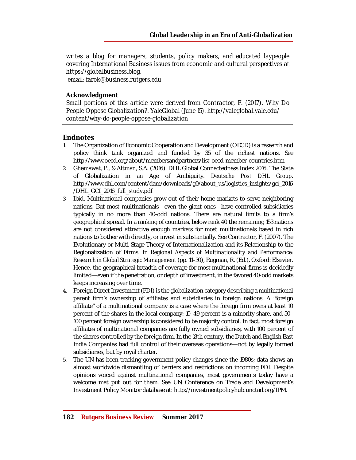*writes a blog for managers, students, policy makers, and educated laypeople covering International Business issues from economic and cultural perspectives at <https://globalbusiness.blog.> email: [farok@business.rutgers.edu](mailto:farok@business.rutgers.edu)*

#### *Acknowledgment*

*Small portions of this article were derived from Contractor, F. (2017). Why Do People Oppose Globalization?. YaleGlobal (June 15). <http://yaleglobal.yale.edu/> content/why-do-people-oppose-globalization*

#### **Endnotes**

- 1. The Organization of Economic Cooperation and Development (OECD) is a research and policy think tank organized and funded by 35 of the richest nations. See <http://www.oecd.org/about/membersandpartners/list-oecd-member-countries.htm>
- 2. Ghemawat, P., & Altman, S.A. (2016). DHL Global Connectedness Index 2016: The State of Globalization in an Age of Ambiguity*. Deutsche Post DHL Group*. [http://www.dhl.com/content/dam/downloads/g0/about\\_us/logistics\\_insights/gci\\_2016](http://www.dhl.com/content/dam/downloads/g0/about_us/logistics_insights/gci_2016) /DHL\_GCI\_2016\_full\_study.pdf
- 3. Ibid. Multinational companies grow out of their home markets to serve neighboring nations. But most multinationals—even the giant ones—have controlled subsidiaries typically in no more than 40-odd nations. There are natural limits to a firm's geographical spread. In a ranking of countries, below rank 40 the remaining 153 nations are not considered attractive enough markets for most multinationals based in rich nations to bother with directly, or invest in substantially. See Contractor, F. (2007). The Evolutionary or Multi-Stage Theory of Internationalization and its Relationship to the Regionalization of Firms. In *Regional Aspects of Multinationality and Performance: Research in Global Strategic Management* (pp. 11–30), Rugman, R. (Ed.), Oxford: Elsevier. Hence, the geographical breadth of coverage for most multinational firms is decidedly limited—even if the penetration, or depth of investment, in the favored 40-odd markets keeps increasing over time.
- 4. Foreign Direct Investment (FDI) is the globalization category describing a multinational parent firm's ownership of affiliates and subsidiaries in foreign nations. A "foreign affiliate" of a multinational company is a case where the foreign firm owns at least 10 percent of the shares in the local company: 10–49 percent is a minority share, and 50– 100 percent foreign ownership is considered to be majority control. In fact, most foreign affiliates of multinational companies are fully owned subsidiaries, with 100 percent of the shares controlled by the foreign firm. In the 18th century, the Dutch and English East India Companies had full control of their overseas operations—not by legally formed subsidiaries, but by royal charter.
- 5. The UN has been tracking government policy changes since the 1980s; data shows an almost worldwide dismantling of barriers and restrictions on incoming FDI. Despite opinions voiced against multinational companies, most governments today have a welcome mat put out for them. See UN Conference on Trade and Development's Investment Policy Monitor database at: <http://investmentpolicyhub.unctad.org/IPM.>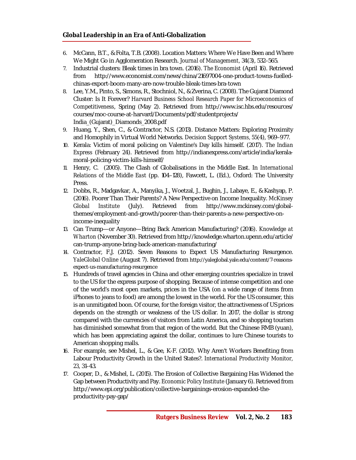#### **Global Leadership in an Era of Anti-Globalization**

- 6. McCann, B.T., & Folta, T.B. (2008). Location Matters: Where We Have Been and Where We Might Go in Agglomeration Research. *Journal of Management,* 34(3), 532–565.
- 7. Industrial clusters: Bleak times in bra town. (2016). *The Economist* (April 16). Retrieved from [http://www.economist.com/news/china/21697004-one-product-towns-fuelled](http://www.economist.com/news/china/21697004-one-product-towns-fuelled-)chinas-export-boom-many-are-now-trouble-bleak-times-bra-town
- 8. Lee, Y.M., Pinto, S., Simons, R., Stochniol, N., & Zverina, C. (2008). The Gujarat Diamond Cluster: Is It Forever? *Harvard Business School Research Paper for Microeconomics of Competitiveness*, Spring (May 2). Retrieved from <http://www.isc.hbs.edu/resources/> courses/moc-course-at-harvard/Documents/pdf/studentprojects/ India\_(Gujarat)\_Diamonds\_2008.pdf
- 9. Huang, Y., Shen, C., & Contractor, N.S. (2013). Distance Matters: Exploring Proximity and Homophily in Virtual World Networks. *Decision Support Systems, 55*(4), 969–977.
- 10. Kerala: Victim of moral policing on Valentine's Day kills himself. (2017). *The Indian Express* (February 24). Retrieved from [http://indianexpress.com/article/india/kerala](http://indianexpress.com/article/india/kerala-)moral-policing-victim-kills-himself/
- 11. Henry, C. (2005). The Clash of Globalisations in the Middle East. In *International Relations of the Middle East* (pp. 104–128), Fawcett, L. (Ed.), Oxford: The University Press.
- 12. Dobbs, R., Madgavkar, A., Manyika, J., Woetzal, J., Bughin, J., Labaye, E., & Kashyap, P. (2016). Poorer Than Their Parents? A New Perspective on Income Inequality. *McKinsey Global Institute* (July). Retrieved from [http://www.mckinsey.com/global](http://www.mckinsey.com/global-)themes/employment-and-growth/poorer-than-their-parents-a-new-perspective-onincome-inequality
- 13. Can Trump—or Anyone—Bring Back American Manufacturing? (2016). *Knowledge at Wharton* (November 30). Retrieved from <http://knowledge.wharton.upenn.edu/article/> can-trump-anyone-bring-back-american-manufacturing/
- 14. Contractor, F.J. (2012). Seven Reasons to Expect US Manufacturing Resurgence. *YaleGlobal Online* (August 7). Retrieved from [http://yaleglobal.yale.edu/content/7-reasons](http://yaleglobal.yale.edu/content/7-reasons-)expect-us-manufacturing-resurgence
- 15. Hundreds of travel agencies in China and other emerging countries specialize in travel to the US for the express purpose of shopping. Because of intense competition and one of the world's most open markets, prices in the USA (on a wide range of items from iPhones to jeans to food) are among the lowest in the world. For the US consumer, this is an unmitigated boon. Of course, for the foreign visitor, the attractiveness of US prices depends on the strength or weakness of the US dollar. In 2017, the dollar is strong compared with the currencies of visitors from Latin America, and so shopping tourism has diminished somewhat from that region of the world. But the Chinese RMB (yuan), which has been appreciating against the dollar, continues to lure Chinese tourists to American shopping malls.
- 16. For example, see Mishel, L., & Gee, K-F. (2012). Why Aren't Workers Benefiting from Labour Productivity Growth in the United States?. *International Productivity Monitor, 23*, 31–43.
- 17. Cooper, D., & Mishel, L. (2015). The Erosion of Collective Bargaining Has Widened the Gap between Productivity and Pay. *Economic Policy Institute* (January 6). Retrieved from [http://www.epi.org/publication/collective-bargainings-erosion-expanded-the](http://www.epi.org/publication/collective-bargainings-erosion-expanded-the-)productivity-pay-gap/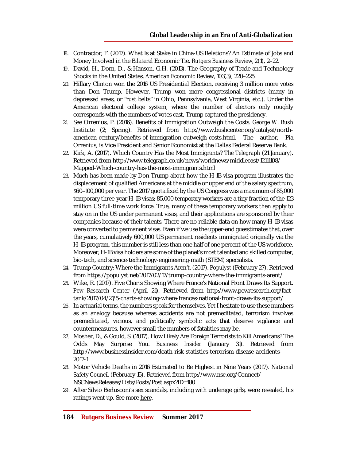- 18. Contractor, F. (2017). What Is at Stake in China-US Relations? An Estimate of Jobs and Money Involved in the Bilateral Economic Tie. *Rutgers Business Review*, *2*(1), 2–22.
- 19. David, H., Dorn, D., & Hanson, G.H. (2013). The Geography of Trade and Technology Shocks in the United States. *American Economic Review,* 103(3), 220–225.
- 20. Hillary Clinton won the 2016 US Presidential Election, receiving 3 million more votes than Don Trump. However, Trump won more congressional districts (many in depressed areas, or "rust belts" in Ohio, Pennsylvania, West Virginia, etc.). Under the American electoral college system, where the number of electors only roughly corresponds with the numbers of votes cast, Trump captured the presidency.
- 21. See Orrenius, P. (2016). Benefits of Immigration Outweigh the Costs. *George W. Bush Institute* (2; Spring). Retrieved from [http://www.bushcenter.org/catalyst/north](http://www.bushcenter.org/catalyst/north-)american-century/benefits-of-immigration-outweigh-costs.html. The author, Pia Orrenius, is Vice President and Senior Economist at the Dallas Federal Reserve Bank.
- 22. Kirk, A. (2017). Which Country Has the Most Immigrants? *The Telegraph* (21 January). Retrieved from <http://www.telegraph.co.uk/news/worldnews/middleeast/12111108/> Mapped-Which-country-has-the-most-immigrants.html
- 23. Much has been made by Don Trump about how the H-1B visa program illustrates the displacement of qualified Americans at the middle or upper end of the salary spectrum, \$60–100,000 per year. The 2017 quota fixed by the US Congress was a maximum of 85,000 temporary three-year H-1B visas; 85,000 temporary workers are a tiny fraction of the 123 million US full-time work force. True, many of these temporary workers then apply to stay on in the US under permanent visas, and their applications are sponsored by their companies because of their talents. There are no reliable data on how many H-1B visas were converted to permanent visas. Even if we use the upper-end guesstimates that, over the years, cumulatively 600,000 US permanent residents immigrated originally via the H-1B program, this number is still less than one half of one percent of the US workforce. Moreover, H-1B visa holders are some of the planet's most talented and skilled computer, bio-tech, and science-technology-engineering-math (STEM) specialists.
- 24. Trump Country: Where the Immigrants Aren't. (2017). *Populyst* (February 27). Retrieved from <https://populyst.net/2017/02/17/trump-country-where-the-immigrants-arent/>
- 25. Wike, R. (2017). Five Charts Showing Where France's National Front Draws Its Support. *Pew Research Center* (April 21). Retrieved from [http://www.pewresearch.org/fact](http://www.pewresearch.org/fact-)tank/2017/04/21/5-charts-showing-where-frances-national-front-draws-its-support/
- 26. In actuarial terms, the numbers speak for themselves. Yet I hesitate to use these numbers as an analogy because whereas accidents are not premeditated, terrorism involves premeditated, vicious, and politically symbolic acts that deserve vigilance and countermeasures, however small the numbers of fatalities may be.
- 27. Mosher, D., & Gould, S. (2017). How Likely Are Foreign Terrorists to Kill Americans? The Odds May Surprise You. *Business Insider* (January 31). Retrieved from <http://www.businessinsider.com/death-risk-statistics-terrorism-disease-accidents->2017-1
- 28. Motor Vehicle Deaths in 2016 Estimated to Be Highest in Nine Years (2017). *National Safety Council* (February 15). Retrieved from <http://www.nsc.org/Connect/> NSCNewsReleases/Lists/Posts/Post.aspx?ID=180
- 29. After Silvio Berlusconi's sex scandals, including with underage girls, were revealed, his ratings went up. See more here.